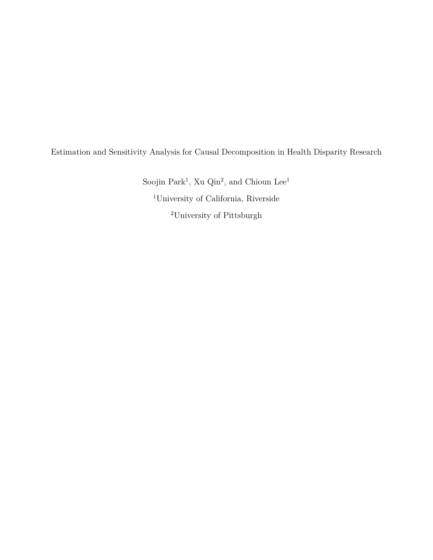Estimation and Sensitivity Analysis for Causal Decomposition in Health Disparity Research

Soojin Park<sup>1</sup>, Xu Qin<sup>2</sup>, and Chioun  $\operatorname{Lee}^1$ <sup>1</sup>University of California, Riverside  $\rm ^2$  University of Pittsburgh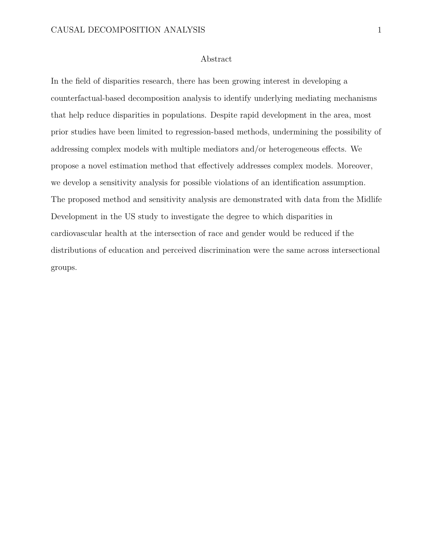## Abstract

In the field of disparities research, there has been growing interest in developing a counterfactual-based decomposition analysis to identify underlying mediating mechanisms that help reduce disparities in populations. Despite rapid development in the area, most prior studies have been limited to regression-based methods, undermining the possibility of addressing complex models with multiple mediators and/or heterogeneous effects. We propose a novel estimation method that effectively addresses complex models. Moreover, we develop a sensitivity analysis for possible violations of an identification assumption. The proposed method and sensitivity analysis are demonstrated with data from the Midlife Development in the US study to investigate the degree to which disparities in cardiovascular health at the intersection of race and gender would be reduced if the distributions of education and perceived discrimination were the same across intersectional groups.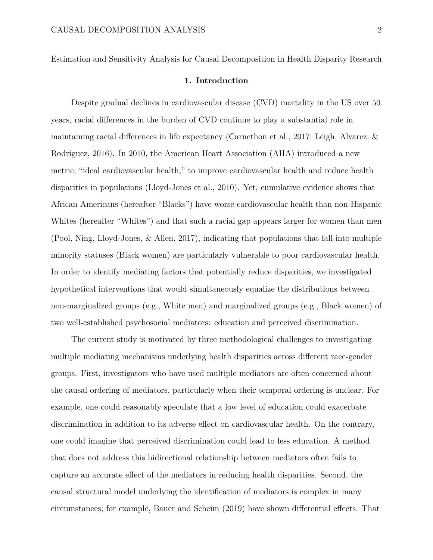Estimation and Sensitivity Analysis for Causal Decomposition in Health Disparity Research

## **1. Introduction**

Despite gradual declines in cardiovascular disease (CVD) mortality in the US over 50 years, racial differences in the burden of CVD continue to play a substantial role in maintaining racial differences in life expectancy (Carnethon et al., 2017; Leigh, Alvarez,  $\&$ Rodriguez, 2016). In 2010, the American Heart Association (AHA) introduced a new metric, "ideal cardiovascular health," to improve cardiovascular health and reduce health disparities in populations (Lloyd-Jones et al., 2010). Yet, cumulative evidence shows that African Americans (hereafter "Blacks") have worse cardiovascular health than non-Hispanic Whites (hereafter "Whites") and that such a racial gap appears larger for women than men (Pool, Ning, Lloyd-Jones, & Allen, 2017), indicating that populations that fall into multiple minority statuses (Black women) are particularly vulnerable to poor cardiovascular health. In order to identify mediating factors that potentially reduce disparities, we investigated hypothetical interventions that would simultaneously equalize the distributions between non-marginalized groups (e.g., White men) and marginalized groups (e.g., Black women) of two well-established psychosocial mediators: education and perceived discrimination.

The current study is motivated by three methodological challenges to investigating multiple mediating mechanisms underlying health disparities across different race-gender groups. First, investigators who have used multiple mediators are often concerned about the causal ordering of mediators, particularly when their temporal ordering is unclear. For example, one could reasonably speculate that a low level of education could exacerbate discrimination in addition to its adverse effect on cardiovascular health. On the contrary, one could imagine that perceived discrimination could lead to less education. A method that does not address this bidirectional relationship between mediators often fails to capture an accurate effect of the mediators in reducing health disparities. Second, the causal structural model underlying the identification of mediators is complex in many circumstances; for example, Bauer and Scheim (2019) have shown differential effects. That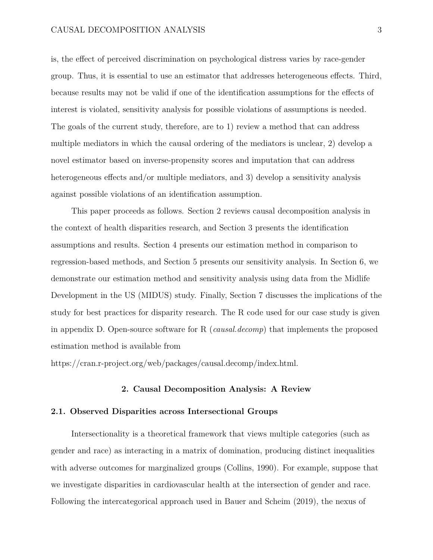is, the effect of perceived discrimination on psychological distress varies by race-gender group. Thus, it is essential to use an estimator that addresses heterogeneous effects. Third, because results may not be valid if one of the identification assumptions for the effects of interest is violated, sensitivity analysis for possible violations of assumptions is needed. The goals of the current study, therefore, are to 1) review a method that can address multiple mediators in which the causal ordering of the mediators is unclear, 2) develop a novel estimator based on inverse-propensity scores and imputation that can address heterogeneous effects and/or multiple mediators, and 3) develop a sensitivity analysis against possible violations of an identification assumption.

This paper proceeds as follows. Section 2 reviews causal decomposition analysis in the context of health disparities research, and Section 3 presents the identification assumptions and results. Section 4 presents our estimation method in comparison to regression-based methods, and Section 5 presents our sensitivity analysis. In Section 6, we demonstrate our estimation method and sensitivity analysis using data from the Midlife Development in the US (MIDUS) study. Finally, Section 7 discusses the implications of the study for best practices for disparity research. The R code used for our case study is given in appendix D. Open-source software for R (*causal.decomp*) that implements the proposed estimation method is available from

https://cran.r-project.org/web/packages/causal.decomp/index.html.

## **2. Causal Decomposition Analysis: A Review**

### **2.1. Observed Disparities across Intersectional Groups**

Intersectionality is a theoretical framework that views multiple categories (such as gender and race) as interacting in a matrix of domination, producing distinct inequalities with adverse outcomes for marginalized groups (Collins, 1990). For example, suppose that we investigate disparities in cardiovascular health at the intersection of gender and race. Following the intercategorical approach used in Bauer and Scheim (2019), the nexus of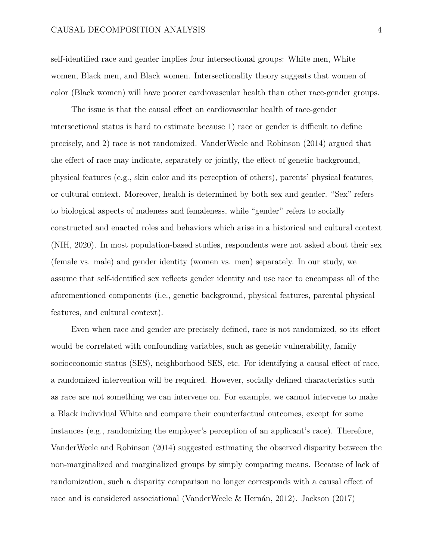self-identified race and gender implies four intersectional groups: White men, White women, Black men, and Black women. Intersectionality theory suggests that women of color (Black women) will have poorer cardiovascular health than other race-gender groups.

The issue is that the causal effect on cardiovascular health of race-gender intersectional status is hard to estimate because  $1$ ) race or gender is difficult to define precisely, and 2) race is not randomized. VanderWeele and Robinson (2014) argued that the effect of race may indicate, separately or jointly, the effect of genetic background, physical features (e.g., skin color and its perception of others), parents' physical features, or cultural context. Moreover, health is determined by both sex and gender. "Sex" refers to biological aspects of maleness and femaleness, while "gender" refers to socially constructed and enacted roles and behaviors which arise in a historical and cultural context (NIH, 2020). In most population-based studies, respondents were not asked about their sex (female vs. male) and gender identity (women vs. men) separately. In our study, we assume that self-identified sex reflects gender identity and use race to encompass all of the aforementioned components (i.e., genetic background, physical features, parental physical features, and cultural context).

Even when race and gender are precisely defined, race is not randomized, so its effect would be correlated with confounding variables, such as genetic vulnerability, family socioeconomic status (SES), neighborhood SES, etc. For identifying a causal effect of race, a randomized intervention will be required. However, socially defined characteristics such as race are not something we can intervene on. For example, we cannot intervene to make a Black individual White and compare their counterfactual outcomes, except for some instances (e.g., randomizing the employer's perception of an applicant's race). Therefore, VanderWeele and Robinson (2014) suggested estimating the observed disparity between the non-marginalized and marginalized groups by simply comparing means. Because of lack of randomization, such a disparity comparison no longer corresponds with a causal effect of race and is considered associational (VanderWeele & Hernán, 2012). Jackson (2017)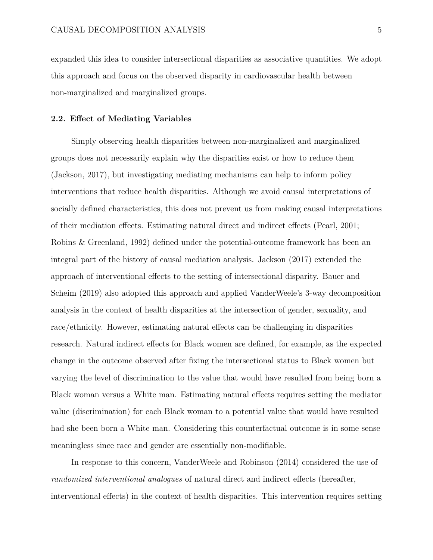expanded this idea to consider intersectional disparities as associative quantities. We adopt this approach and focus on the observed disparity in cardiovascular health between non-marginalized and marginalized groups.

### 2.2. Effect of Mediating Variables

Simply observing health disparities between non-marginalized and marginalized groups does not necessarily explain why the disparities exist or how to reduce them (Jackson, 2017), but investigating mediating mechanisms can help to inform policy interventions that reduce health disparities. Although we avoid causal interpretations of socially defined characteristics, this does not prevent us from making causal interpretations of their mediation effects. Estimating natural direct and indirect effects (Pearl, 2001; Robins & Greenland, 1992) defined under the potential-outcome framework has been an integral part of the history of causal mediation analysis. Jackson (2017) extended the approach of interventional effects to the setting of intersectional disparity. Bauer and Scheim (2019) also adopted this approach and applied VanderWeele's 3-way decomposition analysis in the context of health disparities at the intersection of gender, sexuality, and race/ethnicity. However, estimating natural effects can be challenging in disparities research. Natural indirect effects for Black women are defined, for example, as the expected change in the outcome observed after fixing the intersectional status to Black women but varying the level of discrimination to the value that would have resulted from being born a Black woman versus a White man. Estimating natural effects requires setting the mediator value (discrimination) for each Black woman to a potential value that would have resulted had she been born a White man. Considering this counterfactual outcome is in some sense meaningless since race and gender are essentially non-modifiable.

In response to this concern, VanderWeele and Robinson (2014) considered the use of *randomized interventional analogues* of natural direct and indirect effects (hereafter, interventional effects) in the context of health disparities. This intervention requires setting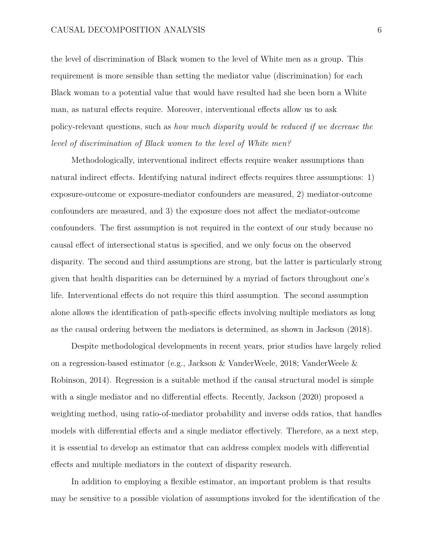the level of discrimination of Black women to the level of White men as a group. This requirement is more sensible than setting the mediator value (discrimination) for each Black woman to a potential value that would have resulted had she been born a White man, as natural effects require. Moreover, interventional effects allow us to ask policy-relevant questions, such as *how much disparity would be reduced if we decrease the level of discrimination of Black women to the level of White men?*

Methodologically, interventional indirect effects require weaker assumptions than natural indirect effects. Identifying natural indirect effects requires three assumptions: 1) exposure-outcome or exposure-mediator confounders are measured, 2) mediator-outcome confounders are measured, and 3) the exposure does not affect the mediator-outcome confounders. The first assumption is not required in the context of our study because no causal effect of intersectional status is specified, and we only focus on the observed disparity. The second and third assumptions are strong, but the latter is particularly strong given that health disparities can be determined by a myriad of factors throughout one's life. Interventional effects do not require this third assumption. The second assumption alone allows the identification of path-specific effects involving multiple mediators as long as the causal ordering between the mediators is determined, as shown in Jackson (2018).

Despite methodological developments in recent years, prior studies have largely relied on a regression-based estimator (e.g., Jackson & VanderWeele, 2018; VanderWeele & Robinson, 2014). Regression is a suitable method if the causal structural model is simple with a single mediator and no differential effects. Recently, Jackson  $(2020)$  proposed a weighting method, using ratio-of-mediator probability and inverse odds ratios, that handles models with differential effects and a single mediator effectively. Therefore, as a next step, it is essential to develop an estimator that can address complex models with differential effects and multiple mediators in the context of disparity research.

In addition to employing a flexible estimator, an important problem is that results may be sensitive to a possible violation of assumptions invoked for the identification of the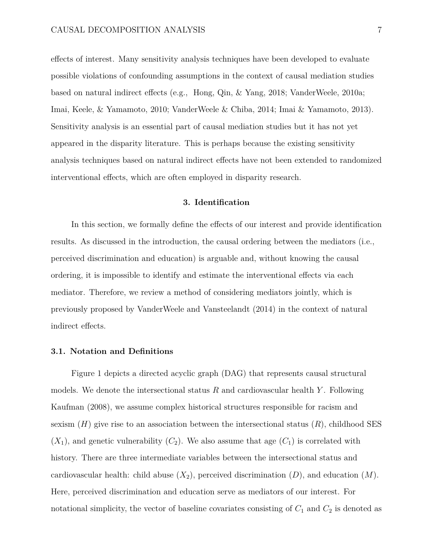effects of interest. Many sensitivity analysis techniques have been developed to evaluate possible violations of confounding assumptions in the context of causal mediation studies based on natural indirect effects (e.g., Hong, Qin, & Yang, 2018; VanderWeele, 2010a; Imai, Keele, & Yamamoto, 2010; VanderWeele & Chiba, 2014; Imai & Yamamoto, 2013). Sensitivity analysis is an essential part of causal mediation studies but it has not yet appeared in the disparity literature. This is perhaps because the existing sensitivity analysis techniques based on natural indirect effects have not been extended to randomized interventional effects, which are often employed in disparity research.

## **3. Identification**

In this section, we formally define the effects of our interest and provide identification results. As discussed in the introduction, the causal ordering between the mediators (i.e., perceived discrimination and education) is arguable and, without knowing the causal ordering, it is impossible to identify and estimate the interventional effects via each mediator. Therefore, we review a method of considering mediators jointly, which is previously proposed by VanderWeele and Vansteelandt (2014) in the context of natural indirect effects.

### **3.1. Notation and Definitions**

Figure 1 depicts a directed acyclic graph (DAG) that represents causal structural models. We denote the intersectional status *R* and cardiovascular health *Y* . Following Kaufman (2008), we assume complex historical structures responsible for racism and sexism (*H*) give rise to an association between the intersectional status (*R*), childhood SES  $(X_1)$ , and genetic vulnerability  $(C_2)$ . We also assume that age  $(C_1)$  is correlated with history. There are three intermediate variables between the intersectional status and cardiovascular health: child abuse  $(X_2)$ , perceived discrimination  $(D)$ , and education  $(M)$ . Here, perceived discrimination and education serve as mediators of our interest. For notational simplicity, the vector of baseline covariates consisting of  $C_1$  and  $C_2$  is denoted as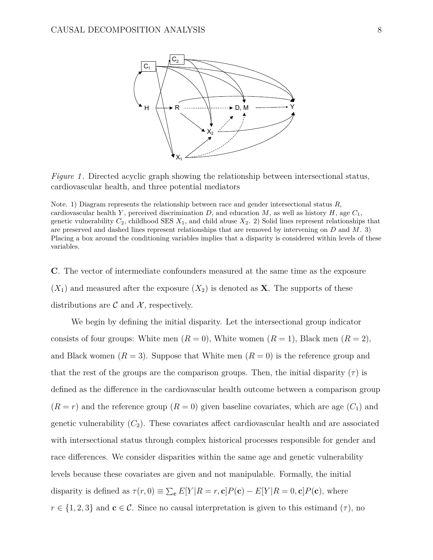

*Figure 1*. Directed acyclic graph showing the relationship between intersectional status, cardiovascular health, and three potential mediators

Note. 1) Diagram represents the relationship between race and gender intersectional status *R*, cardiovascular health *Y*, perceived discrimination *D*, and education *M*, as well as history *H*, age  $C_1$ , genetic vulnerability  $C_2$ , childhood SES  $X_1$ , and child abuse  $X_2$ . 2) Solid lines represent relationships that are preserved and dashed lines represent relationships that are removed by intervening on *D* and *M*. 3) Placing a box around the conditioning variables implies that a disparity is considered within levels of these variables.

**C**. The vector of intermediate confounders measured at the same time as the exposure  $(X_1)$  and measured after the exposure  $(X_2)$  is denoted as **X**. The supports of these distributions are  $\mathcal C$  and  $\mathcal X$ , respectively.

We begin by defining the initial disparity. Let the intersectional group indicator consists of four groups: White men  $(R = 0)$ , White women  $(R = 1)$ , Black men  $(R = 2)$ , and Black women  $(R = 3)$ . Suppose that White men  $(R = 0)$  is the reference group and that the rest of the groups are the comparison groups. Then, the initial disparity  $(\tau)$  is defined as the difference in the cardiovascular health outcome between a comparison group  $(R = r)$  and the reference group  $(R = 0)$  given baseline covariates, which are age  $(C<sub>1</sub>)$  and genetic vulnerability  $(C_2)$ . These covariates affect cardiovascular health and are associated with intersectional status through complex historical processes responsible for gender and race differences. We consider disparities within the same age and genetic vulnerability levels because these covariates are given and not manipulable. Formally, the initial disparity is defined as  $\tau(r,0) \equiv \sum_{\mathbf{c}} E[Y|R=r,\mathbf{c}]P(\mathbf{c}) - E[Y|R=0,\mathbf{c}]P(\mathbf{c})$ , where  $r \in \{1, 2, 3\}$  and  $\mathbf{c} \in \mathcal{C}$ . Since no causal interpretation is given to this estimand  $(\tau)$ , no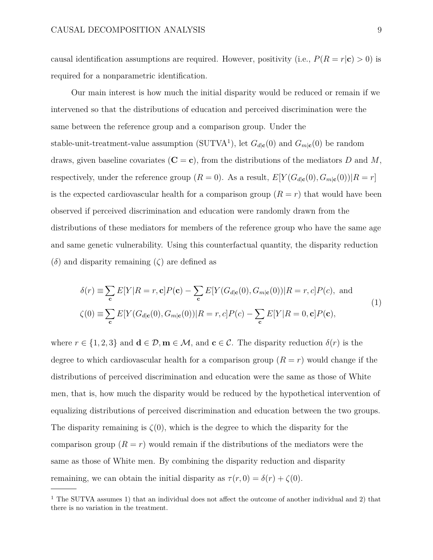causal identification assumptions are required. However, positivity (i.e.,  $P(R = r | \mathbf{c}) > 0$ ) is required for a nonparametric identification.

Our main interest is how much the initial disparity would be reduced or remain if we intervened so that the distributions of education and perceived discrimination were the same between the reference group and a comparison group. Under the stable-unit-treatment-value assumption (SUTVA<sup>1</sup>), let  $G_{d|c}(0)$  and  $G_{m|c}(0)$  be random draws, given baseline covariates  $(C = c)$ , from the distributions of the mediators *D* and *M*, respectively, under the reference group  $(R = 0)$ . As a result,  $E[Y(G_{d|c}(0), G_{m|c}(0))|R = r]$ is the expected cardiovascular health for a comparison group  $(R = r)$  that would have been observed if perceived discrimination and education were randomly drawn from the distributions of these mediators for members of the reference group who have the same age and same genetic vulnerability. Using this counterfactual quantity, the disparity reduction  $(\delta)$  and disparity remaining  $(\zeta)$  are defined as

$$
\delta(r) \equiv \sum_{\mathbf{c}} E[Y|R=r,\mathbf{c}]P(\mathbf{c}) - \sum_{\mathbf{c}} E[Y(G_{d|\mathbf{c}}(0), G_{m|\mathbf{c}}(0))|R=r, c]P(c), \text{ and}
$$
  

$$
\zeta(0) \equiv \sum_{\mathbf{c}} E[Y(G_{d|\mathbf{c}}(0), G_{m|\mathbf{c}}(0))|R=r, c]P(c) - \sum_{\mathbf{c}} E[Y|R=0, \mathbf{c}]P(\mathbf{c}),
$$
\n(1)

where  $r \in \{1, 2, 3\}$  and  $\mathbf{d} \in \mathcal{D}, \mathbf{m} \in \mathcal{M},$  and  $\mathbf{c} \in \mathcal{C}$ . The disparity reduction  $\delta(r)$  is the degree to which cardiovascular health for a comparison group  $(R = r)$  would change if the distributions of perceived discrimination and education were the same as those of White men, that is, how much the disparity would be reduced by the hypothetical intervention of equalizing distributions of perceived discrimination and education between the two groups. The disparity remaining is  $\zeta(0)$ , which is the degree to which the disparity for the comparison group  $(R = r)$  would remain if the distributions of the mediators were the same as those of White men. By combining the disparity reduction and disparity remaining, we can obtain the initial disparity as  $\tau(r, 0) = \delta(r) + \zeta(0)$ .

 $1$  The SUTVA assumes 1) that an individual does not affect the outcome of another individual and 2) that there is no variation in the treatment.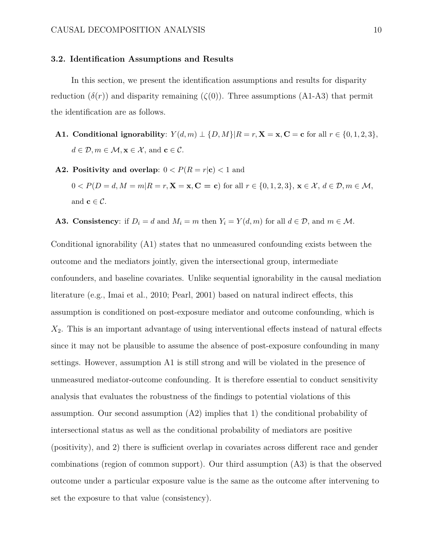#### **3.2. Identification Assumptions and Results**

In this section, we present the identification assumptions and results for disparity reduction  $(\delta(r))$  and disparity remaining  $(\zeta(0))$ . Three assumptions (A1-A3) that permit the identification are as follows.

- **A1.** Conditional ignorability:  $Y(d,m) \perp \{D,M\} | R = r$ ,  $X = x$ ,  $C = c$  for all  $r \in \{0,1,2,3\}$ ,  $d \in \mathcal{D}, m \in \mathcal{M}, \mathbf{x} \in \mathcal{X}, \text{ and } \mathbf{c} \in \mathcal{C}.$
- **A2. Positivity and overlap:**  $0 < P(R = r|\mathbf{c}) < 1$  and  $0 < P(D=d, M=m | R=r, \mathbf{X}=\mathbf{x}, \mathbf{C}=\mathbf{c})$  for all  $r \in \{0,1,2,3\}, \mathbf{x} \in \mathcal{X}, d \in \mathcal{D}, m \in \mathcal{M},$ and  $\mathbf{c} \in \mathcal{C}$ .
- **A3. Consistency**: if  $D_i = d$  and  $M_i = m$  then  $Y_i = Y(d, m)$  for all  $d \in \mathcal{D}$ , and  $m \in \mathcal{M}$ .

Conditional ignorability (A1) states that no unmeasured confounding exists between the outcome and the mediators jointly, given the intersectional group, intermediate confounders, and baseline covariates. Unlike sequential ignorability in the causal mediation literature (e.g., Imai et al., 2010; Pearl, 2001) based on natural indirect effects, this assumption is conditioned on post-exposure mediator and outcome confounding, which is  $X_2$ . This is an important advantage of using interventional effects instead of natural effects since it may not be plausible to assume the absence of post-exposure confounding in many settings. However, assumption A1 is still strong and will be violated in the presence of unmeasured mediator-outcome confounding. It is therefore essential to conduct sensitivity analysis that evaluates the robustness of the findings to potential violations of this assumption. Our second assumption (A2) implies that 1) the conditional probability of intersectional status as well as the conditional probability of mediators are positive (positivity), and 2) there is sufficient overlap in covariates across different race and gender combinations (region of common support). Our third assumption (A3) is that the observed outcome under a particular exposure value is the same as the outcome after intervening to set the exposure to that value (consistency).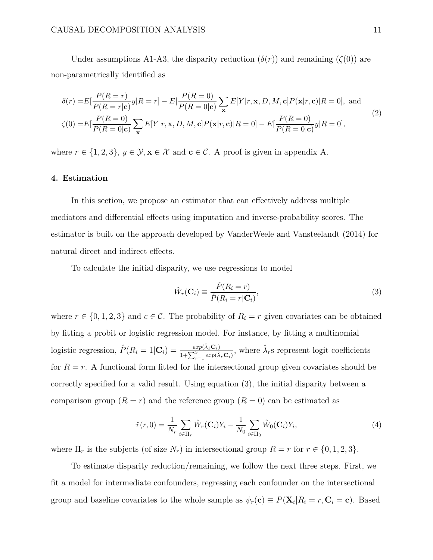Under assumptions A1-A3, the disparity reduction  $(\delta(r))$  and remaining  $(\zeta(0))$  are non-parametrically identified as

$$
\delta(r) = E\left[\frac{P(R=r)}{P(R=r|\mathbf{c})}y|R=r\right] - E\left[\frac{P(R=0)}{P(R=0|\mathbf{c})}\sum_{\mathbf{x}}E[Y|r,\mathbf{x},D,M,\mathbf{c}]P(\mathbf{x}|r,\mathbf{c})|R=0\right], \text{ and}
$$
  
\n
$$
\zeta(0) = E\left[\frac{P(R=0)}{P(R=0|\mathbf{c})}\sum_{\mathbf{x}}E[Y|r,\mathbf{x},D,M,\mathbf{c}]P(\mathbf{x}|r,\mathbf{c})|R=0\right] - E\left[\frac{P(R=0)}{P(R=0|\mathbf{c})}y|R=0\right],
$$
\n(2)

where  $r \in \{1, 2, 3\}$ ,  $y \in \mathcal{Y}, \mathbf{x} \in \mathcal{X}$  and  $\mathbf{c} \in \mathcal{C}$ . A proof is given in appendix A.

#### **4. Estimation**

In this section, we propose an estimator that can effectively address multiple mediators and differential effects using imputation and inverse-probability scores. The estimator is built on the approach developed by VanderWeele and Vansteelandt (2014) for natural direct and indirect effects.

To calculate the initial disparity, we use regressions to model

$$
\hat{W}_r(\mathbf{C}_i) \equiv \frac{\hat{P}(R_i = r)}{\hat{P}(R_i = r | \mathbf{C}_i)},\tag{3}
$$

where  $r \in \{0, 1, 2, 3\}$  and  $c \in \mathcal{C}$ . The probability of  $R_i = r$  given covariates can be obtained by fitting a probit or logistic regression model. For instance, by fitting a multinomial logistic regression,  $\hat{P}(R_i = 1 | \mathbf{C}_i) = \frac{exp(\hat{\lambda}_1 \mathbf{C}_i)}{1 + \sum_{r=1}^3 exp(\hat{\lambda}_r \mathbf{C}_i)}$ , where  $\hat{\lambda}_r$ s represent logit coefficients for  $R = r$ . A functional form fitted for the intersectional group given covariates should be correctly specified for a valid result. Using equation (3), the initial disparity between a comparison group  $(R = r)$  and the reference group  $(R = 0)$  can be estimated as

$$
\hat{\tau}(r,0) = \frac{1}{N_r} \sum_{i \in \Pi_r} \hat{W}_r(\mathbf{C}_i) Y_i - \frac{1}{N_0} \sum_{i \in \Pi_0} \hat{W}_0(\mathbf{C}_i) Y_i,
$$
\n(4)

where  $\Pi_r$  is the subjects (of size  $N_r$ ) in intersectional group  $R = r$  for  $r \in \{0, 1, 2, 3\}$ .

To estimate disparity reduction/remaining, we follow the next three steps. First, we fit a model for intermediate confounders, regressing each confounder on the intersectional group and baseline covariates to the whole sample as  $\psi_r(\mathbf{c}) \equiv P(\mathbf{X}_i | R_i = r, \mathbf{C}_i = \mathbf{c})$ . Based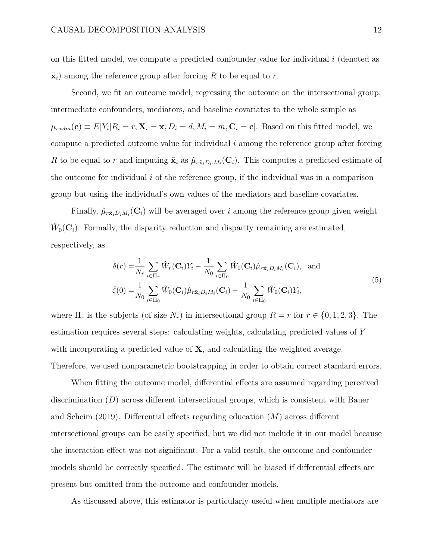on this fitted model, we compute a predicted confounder value for individual *i* (denoted as  $\tilde{\mathbf{x}}_i$  among the reference group after forcing R to be equal to r.

Second, we fit an outcome model, regressing the outcome on the intersectional group, intermediate confounders, mediators, and baseline covariates to the whole sample as  $\mu_{rxdm}(\mathbf{c}) \equiv E[Y_i|R_i = r, \mathbf{X}_i = \mathbf{x}, D_i = d, M_i = m, \mathbf{C}_i = \mathbf{c}]$ . Based on this fitted model, we compute a predicted outcome value for individual *i* among the reference group after forcing *R* to be equal to *r* and imputing  $\tilde{\mathbf{x}}_i$  as  $\hat{\mu}_{r\tilde{\mathbf{x}}_i D_i, M_i}(\mathbf{C}_i)$ . This computes a predicted estimate of the outcome for individual *i* of the reference group, if the individual was in a comparison group but using the individual's own values of the mediators and baseline covariates.

Finally,  $\hat{\mu}_{r\tilde{\mathbf{x}}_iD_iM_i}(\mathbf{C}_i)$  will be averaged over *i* among the reference group given weight  $W_0(\mathbf{C}_i)$ . Formally, the disparity reduction and disparity remaining are estimated, respectively, as

$$
\hat{\delta}(r) = \frac{1}{N_r} \sum_{i \in \Pi_r} \hat{W}_r(\mathbf{C}_i) Y_i - \frac{1}{N_0} \sum_{i \in \Pi_0} \hat{W}_0(\mathbf{C}_i) \hat{\mu}_{r \tilde{\mathbf{x}}_i D_i M_i}(\mathbf{C}_i), \text{ and}
$$
  

$$
\hat{\zeta}(0) = \frac{1}{N_0} \sum_{i \in \Pi_0} \hat{W}_0(\mathbf{C}_i) \hat{\mu}_{r \tilde{\mathbf{x}}_i D_i M_i}(\mathbf{C}_i) - \frac{1}{N_0} \sum_{i \in \Pi_0} \hat{W}_0(\mathbf{C}_i) Y_i,
$$
\n(5)

where  $\Pi_r$  is the subjects (of size  $N_r$ ) in intersectional group  $R = r$  for  $r \in \{0, 1, 2, 3\}$ . The estimation requires several steps: calculating weights, calculating predicted values of *Y* with incorporating a predicted value of **X**, and calculating the weighted average. Therefore, we used nonparametric bootstrapping in order to obtain correct standard errors.

When fitting the outcome model, differential effects are assumed regarding perceived discrimination  $(D)$  across different intersectional groups, which is consistent with Bauer and Scheim  $(2019)$ . Differential effects regarding education  $(M)$  across different intersectional groups can be easily specified, but we did not include it in our model because the interaction effect was not significant. For a valid result, the outcome and confounder models should be correctly specified. The estimate will be biased if differential effects are present but omitted from the outcome and confounder models.

As discussed above, this estimator is particularly useful when multiple mediators are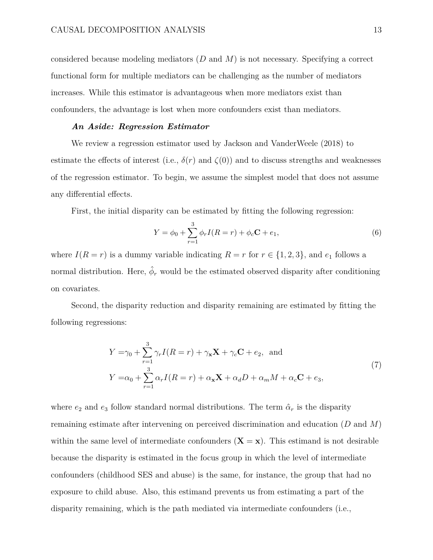considered because modeling mediators (*D* and *M*) is not necessary. Specifying a correct functional form for multiple mediators can be challenging as the number of mediators increases. While this estimator is advantageous when more mediators exist than confounders, the advantage is lost when more confounders exist than mediators.

#### *An Aside: Regression Estimator*

We review a regression estimator used by Jackson and VanderWeele (2018) to estimate the effects of interest (i.e.,  $\delta(r)$  and  $\zeta(0)$ ) and to discuss strengths and weaknesses of the regression estimator. To begin, we assume the simplest model that does not assume any differential effects.

First, the initial disparity can be estimated by fitting the following regression:

$$
Y = \phi_0 + \sum_{r=1}^{3} \phi_r I(R=r) + \phi_c \mathbf{C} + e_1,\tag{6}
$$

where  $I(R = r)$  is a dummy variable indicating  $R = r$  for  $r \in \{1, 2, 3\}$ , and  $e_1$  follows a normal distribution. Here,  $\hat{\phi}_r$  would be the estimated observed disparity after conditioning on covariates.

Second, the disparity reduction and disparity remaining are estimated by fitting the following regressions:

$$
Y = \gamma_0 + \sum_{r=1}^{3} \gamma_r I(R=r) + \gamma_{\mathbf{x}} \mathbf{X} + \gamma_c \mathbf{C} + e_2, \text{ and}
$$
  
\n
$$
Y = \alpha_0 + \sum_{r=1}^{3} \alpha_r I(R=r) + \alpha_{\mathbf{x}} \mathbf{X} + \alpha_d D + \alpha_m M + \alpha_c \mathbf{C} + e_3,
$$
\n(7)

where  $e_2$  and  $e_3$  follow standard normal distributions. The term  $\hat{\alpha}_r$  is the disparity remaining estimate after intervening on perceived discrimination and education (*D* and *M*) within the same level of intermediate confounders  $(X = x)$ . This estimand is not desirable because the disparity is estimated in the focus group in which the level of intermediate confounders (childhood SES and abuse) is the same, for instance, the group that had no exposure to child abuse. Also, this estimand prevents us from estimating a part of the disparity remaining, which is the path mediated via intermediate confounders (i.e.,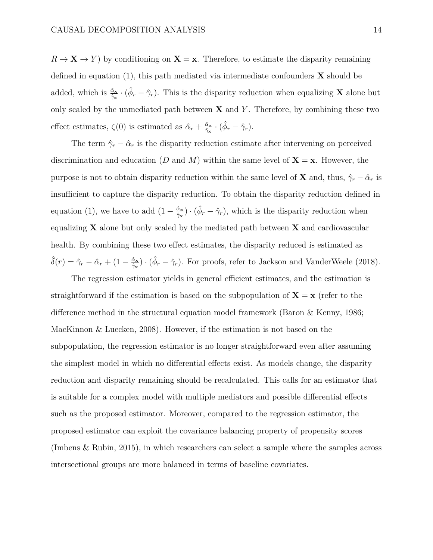$R \to \mathbf{X} \to Y$  by conditioning on  $\mathbf{X} = \mathbf{x}$ . Therefore, to estimate the disparity remaining defined in equation (1), this path mediated via intermediate confounders **X** should be added, which is  $\frac{\hat{\alpha}_{\mathbf{x}}}{\hat{\gamma}_{\mathbf{x}}} \cdot (\hat{\phi}_r - \hat{\gamma}_r)$ . This is the disparity reduction when equalizing **X** alone but only scaled by the unmediated path between  $X$  and  $Y$ . Therefore, by combining these two effect estimates,  $\zeta(0)$  is estimated as  $\hat{\alpha}_r + \frac{\hat{\alpha}_s}{\hat{\gamma}_s} \cdot (\hat{\phi}_r - \hat{\gamma}_r)$ .

The term  $\hat{\gamma}_r - \hat{\alpha}_r$  is the disparity reduction estimate after intervening on perceived discrimination and education (*D* and *M*) within the same level of  $X = x$ . However, the purpose is not to obtain disparity reduction within the same level of **X** and, thus,  $\hat{\gamma}_r - \hat{\alpha}_r$  is insufficient to capture the disparity reduction. To obtain the disparity reduction defined in equation (1), we have to add  $(1 - \frac{\hat{\alpha}_x}{\hat{\gamma}_x}) \cdot (\hat{\phi}_r - \hat{\gamma}_r)$ , which is the disparity reduction when equalizing **X** alone but only scaled by the mediated path between **X** and cardiovascular health. By combining these two effect estimates, the disparity reduced is estimated as  $\hat{\delta}(r) = \hat{\gamma}_r - \hat{\alpha}_r + (1 - \frac{\hat{\alpha}_s}{\hat{\gamma}_s}) \cdot (\hat{\phi}_r - \hat{\gamma}_r)$ . For proofs, refer to Jackson and VanderWeele (2018).

The regression estimator yields in general efficient estimates, and the estimation is straightforward if the estimation is based on the subpopulation of  $X = x$  (refer to the difference method in the structural equation model framework (Baron  $\&$  Kenny, 1986; MacKinnon & Luecken, 2008). However, if the estimation is not based on the subpopulation, the regression estimator is no longer straightforward even after assuming the simplest model in which no differential effects exist. As models change, the disparity reduction and disparity remaining should be recalculated. This calls for an estimator that is suitable for a complex model with multiple mediators and possible differential effects such as the proposed estimator. Moreover, compared to the regression estimator, the proposed estimator can exploit the covariance balancing property of propensity scores (Imbens & Rubin, 2015), in which researchers can select a sample where the samples across intersectional groups are more balanced in terms of baseline covariates.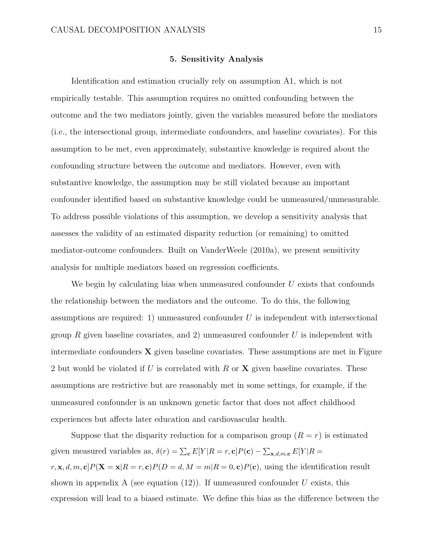#### **5. Sensitivity Analysis**

Identification and estimation crucially rely on assumption A1, which is not empirically testable. This assumption requires no omitted confounding between the outcome and the two mediators jointly, given the variables measured before the mediators (i.e., the intersectional group, intermediate confounders, and baseline covariates). For this assumption to be met, even approximately, substantive knowledge is required about the confounding structure between the outcome and mediators. However, even with substantive knowledge, the assumption may be still violated because an important confounder identified based on substantive knowledge could be unmeasured/unmeasurable. To address possible violations of this assumption, we develop a sensitivity analysis that assesses the validity of an estimated disparity reduction (or remaining) to omitted mediator-outcome confounders. Built on VanderWeele (2010a), we present sensitivity analysis for multiple mediators based on regression coefficients.

We begin by calculating bias when unmeasured confounder *U* exists that confounds the relationship between the mediators and the outcome. To do this, the following assumptions are required: 1) unmeasured confounder *U* is independent with intersectional group *R* given baseline covariates, and 2) unmeasured confounder *U* is independent with intermediate confounders **X** given baseline covariates. These assumptions are met in Figure 2 but would be violated if *U* is correlated with *R* or **X** given baseline covariates. These assumptions are restrictive but are reasonably met in some settings, for example, if the unmeasured confounder is an unknown genetic factor that does not affect childhood experiences but affects later education and cardiovascular health.

Suppose that the disparity reduction for a comparison group  $(R = r)$  is estimated given measured variables as,  $\delta(r) = \sum_{\mathbf{c}} E[Y|R = r, \mathbf{c}]P(\mathbf{c}) - \sum_{\mathbf{x},d,m,\mathbf{c}} E[Y|R = r]$  $r, \mathbf{x}, d, m, \mathbf{c}$   $P(\mathbf{X} = \mathbf{x}|R = r, \mathbf{c})P(D = d, M = m|R = 0, \mathbf{c})P(\mathbf{c})$ , using the identification result shown in appendix A (see equation  $(12)$ ). If unmeasured confounder *U* exists, this expression will lead to a biased estimate. We define this bias as the difference between the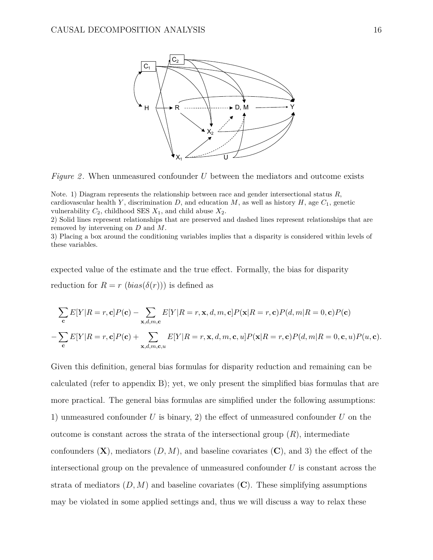

*Figure 2.* When unmeasured confounder *U* between the mediators and outcome exists

Note. 1) Diagram represents the relationship between race and gender intersectional status *R*, cardiovascular health *Y*, discrimination *D*, and education *M*, as well as history *H*, age  $C_1$ , genetic vulnerability  $C_2$ , childhood SES  $X_1$ , and child abuse  $X_2$ .

2) Solid lines represent relationships that are preserved and dashed lines represent relationships that are removed by intervening on *D* and *M*.

3) Placing a box around the conditioning variables implies that a disparity is considered within levels of these variables.

expected value of the estimate and the true effect. Formally, the bias for disparity reduction for  $R = r$  (*bias*( $\delta(r)$ )) is defined as

$$
\sum_{\mathbf{c}} E[Y|R=r,\mathbf{c}]P(\mathbf{c}) - \sum_{\mathbf{x},d,m,\mathbf{c}} E[Y|R=r,\mathbf{x},d,m,\mathbf{c}]P(\mathbf{x}|R=r,\mathbf{c})P(d,m|R=0,\mathbf{c})P(\mathbf{c})
$$

$$
-\sum_{\mathbf{c}} E[Y|R=r,\mathbf{c}]P(\mathbf{c}) + \sum_{\mathbf{x},d,m,\mathbf{c},u} E[Y|R=r,\mathbf{x},d,m,\mathbf{c},u]P(\mathbf{x}|R=r,\mathbf{c})P(d,m|R=0,\mathbf{c},u)P(u,\mathbf{c}).
$$

Given this definition, general bias formulas for disparity reduction and remaining can be calculated (refer to appendix B); yet, we only present the simplified bias formulas that are more practical. The general bias formulas are simplified under the following assumptions: 1) unmeasured confounder  $U$  is binary, 2) the effect of unmeasured confounder  $U$  on the outcome is constant across the strata of the intersectional group  $(R)$ , intermediate confounders  $(X)$ , mediators  $(D, M)$ , and baseline covariates  $(C)$ , and 3) the effect of the intersectional group on the prevalence of unmeasured confounder *U* is constant across the strata of mediators  $(D, M)$  and baseline covariates  $(C)$ . These simplifying assumptions may be violated in some applied settings and, thus we will discuss a way to relax these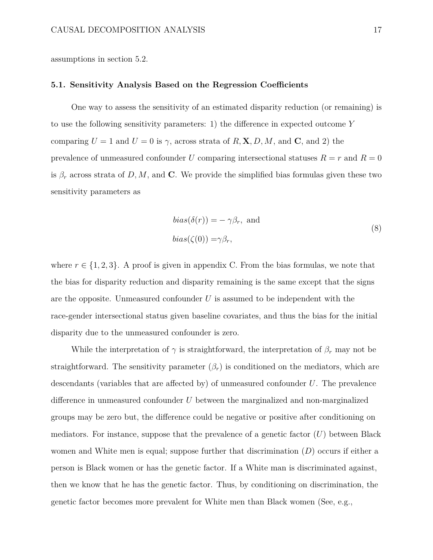assumptions in section 5.2.

#### **5.1. Sensitivity Analysis Based on the Regression Coecients**

One way to assess the sensitivity of an estimated disparity reduction (or remaining) is to use the following sensitivity parameters: 1) the difference in expected outcome Y comparing  $U = 1$  and  $U = 0$  is  $\gamma$ , across strata of  $R$ , **X**, *D*, *M*, and **C**, and 2) the prevalence of unmeasured confounder *U* comparing intersectional statuses  $R = r$  and  $R = 0$ is  $\beta_r$  across strata of *D, M,* and **C**. We provide the simplified bias formulas given these two sensitivity parameters as

$$
bias(\delta(r)) = -\gamma \beta_r, \text{ and}
$$
  

$$
bias(\zeta(0)) = \gamma \beta_r,
$$
 (8)

where  $r \in \{1, 2, 3\}$ . A proof is given in appendix C. From the bias formulas, we note that the bias for disparity reduction and disparity remaining is the same except that the signs are the opposite. Unmeasured confounder *U* is assumed to be independent with the race-gender intersectional status given baseline covariates, and thus the bias for the initial disparity due to the unmeasured confounder is zero.

While the interpretation of  $\gamma$  is straightforward, the interpretation of  $\beta_r$  may not be straightforward. The sensitivity parameter  $(\beta_r)$  is conditioned on the mediators, which are descendants (variables that are affected by) of unmeasured confounder  $U$ . The prevalence difference in unmeasured confounder U between the marginalized and non-marginalized groups may be zero but, the difference could be negative or positive after conditioning on mediators. For instance, suppose that the prevalence of a genetic factor (*U*) between Black women and White men is equal; suppose further that discrimination (*D*) occurs if either a person is Black women or has the genetic factor. If a White man is discriminated against, then we know that he has the genetic factor. Thus, by conditioning on discrimination, the genetic factor becomes more prevalent for White men than Black women (See, e.g.,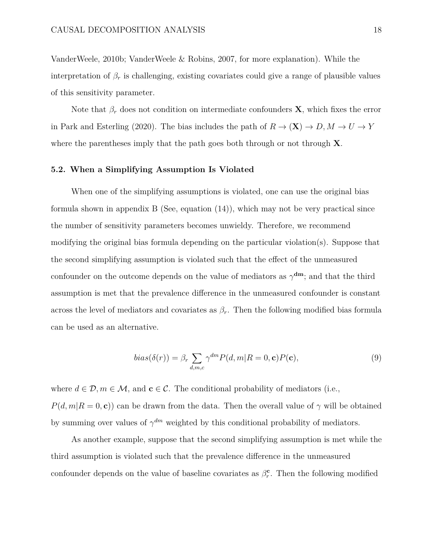VanderWeele, 2010b; VanderWeele & Robins, 2007, for more explanation). While the interpretation of  $\beta_r$  is challenging, existing covariates could give a range of plausible values of this sensitivity parameter.

Note that  $\beta_r$  does not condition on intermediate confounders **X**, which fixes the error in Park and Esterling (2020). The bias includes the path of  $R \to (\mathbf{X}) \to D, M \to U \to Y$ where the parentheses imply that the path goes both through or not through **X**.

### **5.2. When a Simplifying Assumption Is Violated**

When one of the simplifying assumptions is violated, one can use the original bias formula shown in appendix B (See, equation (14)), which may not be very practical since the number of sensitivity parameters becomes unwieldy. Therefore, we recommend modifying the original bias formula depending on the particular violation(s). Suppose that the second simplifying assumption is violated such that the effect of the unmeasured confounder on the outcome depends on the value of mediators as  $\gamma^{\text{dm}}$ ; and that the third assumption is met that the prevalence difference in the unmeasured confounder is constant across the level of mediators and covariates as  $\beta_r$ . Then the following modified bias formula can be used as an alternative.

$$
bias(\delta(r)) = \beta_r \sum_{d,m,c} \gamma^{dm} P(d,m|R=0,\mathbf{c}) P(\mathbf{c}),\tag{9}
$$

where  $d \in \mathcal{D}, m \in \mathcal{M}$ , and  $\mathbf{c} \in \mathcal{C}$ . The conditional probability of mediators (i.e.,  $P(d, m | R = 0, c)$  can be drawn from the data. Then the overall value of  $\gamma$  will be obtained by summing over values of  $\gamma^{dm}$  weighted by this conditional probability of mediators.

As another example, suppose that the second simplifying assumption is met while the third assumption is violated such that the prevalence difference in the unmeasured confounder depends on the value of baseline covariates as  $\beta_r^{\mathbf{c}}$ . Then the following modified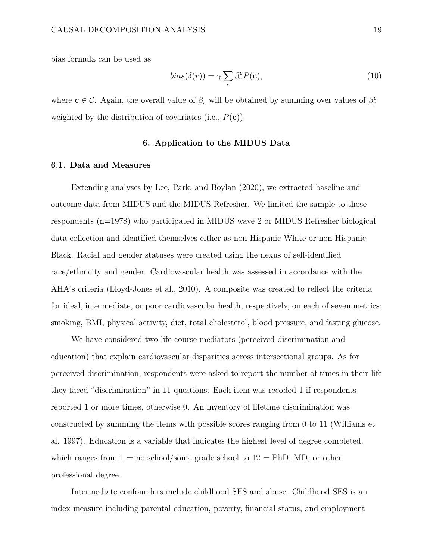bias formula can be used as

$$
bias(\delta(r)) = \gamma \sum_{c} \beta_r^{\mathbf{c}} P(\mathbf{c}), \qquad (10)
$$

where  $\mathbf{c} \in \mathcal{C}$ . Again, the overall value of  $\beta_r$  will be obtained by summing over values of  $\beta_r^{\mathbf{c}}$ weighted by the distribution of covariates (i.e., *P*(**c**)).

## **6. Application to the MIDUS Data**

#### **6.1. Data and Measures**

Extending analyses by Lee, Park, and Boylan (2020), we extracted baseline and outcome data from MIDUS and the MIDUS Refresher. We limited the sample to those respondents (n=1978) who participated in MIDUS wave 2 or MIDUS Refresher biological data collection and identified themselves either as non-Hispanic White or non-Hispanic Black. Racial and gender statuses were created using the nexus of self-identified race/ethnicity and gender. Cardiovascular health was assessed in accordance with the AHA's criteria (Lloyd-Jones et al., 2010). A composite was created to reflect the criteria for ideal, intermediate, or poor cardiovascular health, respectively, on each of seven metrics: smoking, BMI, physical activity, diet, total cholesterol, blood pressure, and fasting glucose.

We have considered two life-course mediators (perceived discrimination and education) that explain cardiovascular disparities across intersectional groups. As for perceived discrimination, respondents were asked to report the number of times in their life they faced "discrimination" in 11 questions. Each item was recoded 1 if respondents reported 1 or more times, otherwise 0. An inventory of lifetime discrimination was constructed by summing the items with possible scores ranging from 0 to 11 (Williams et al. 1997). Education is a variable that indicates the highest level of degree completed, which ranges from  $1 =$  no school/some grade school to  $12 =$  PhD, MD, or other professional degree.

Intermediate confounders include childhood SES and abuse. Childhood SES is an index measure including parental education, poverty, financial status, and employment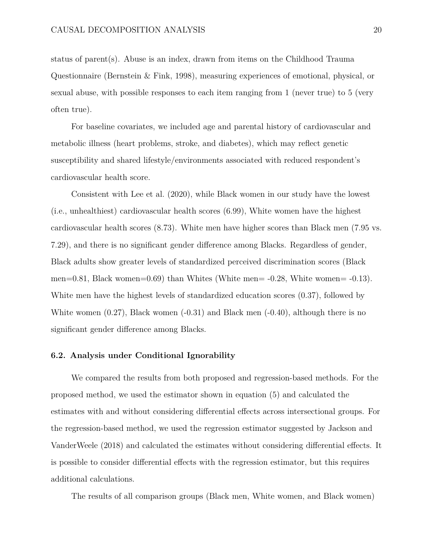status of parent(s). Abuse is an index, drawn from items on the Childhood Trauma Questionnaire (Bernstein & Fink, 1998), measuring experiences of emotional, physical, or sexual abuse, with possible responses to each item ranging from 1 (never true) to 5 (very often true).

For baseline covariates, we included age and parental history of cardiovascular and metabolic illness (heart problems, stroke, and diabetes), which may reflect genetic susceptibility and shared lifestyle/environments associated with reduced respondent's cardiovascular health score.

Consistent with Lee et al. (2020), while Black women in our study have the lowest (i.e., unhealthiest) cardiovascular health scores (6.99), White women have the highest cardiovascular health scores (8.73). White men have higher scores than Black men (7.95 vs. 7.29), and there is no significant gender difference among Blacks. Regardless of gender, Black adults show greater levels of standardized perceived discrimination scores (Black men=0.81, Black women=0.69) than Whites (White men=  $-0.28$ , White women=  $-0.13$ ). White men have the highest levels of standardized education scores (0.37), followed by White women  $(0.27)$ , Black women  $(-0.31)$  and Black men  $(-0.40)$ , although there is no significant gender difference among Blacks.

### **6.2. Analysis under Conditional Ignorability**

We compared the results from both proposed and regression-based methods. For the proposed method, we used the estimator shown in equation (5) and calculated the estimates with and without considering differential effects across intersectional groups. For the regression-based method, we used the regression estimator suggested by Jackson and VanderWeele (2018) and calculated the estimates without considering differential effects. It is possible to consider differential effects with the regression estimator, but this requires additional calculations.

The results of all comparison groups (Black men, White women, and Black women)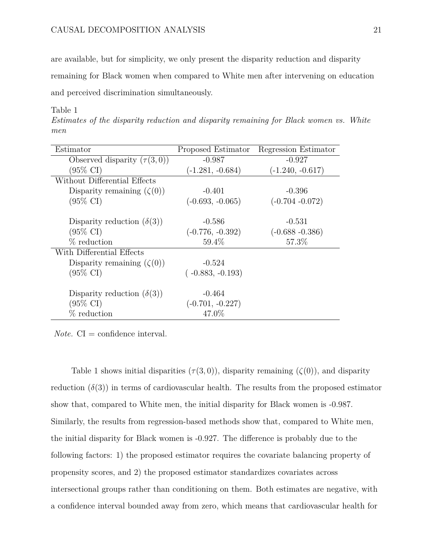are available, but for simplicity, we only present the disparity reduction and disparity remaining for Black women when compared to White men after intervening on education and perceived discrimination simultaneously.

Table 1

*Estimates of the disparity reduction and disparity remaining for Black women vs. White men*

| Estimator                         | Proposed Estimator | Regression Estimator |
|-----------------------------------|--------------------|----------------------|
| Observed disparity $(\tau(3,0))$  | $-0.987$           | $-0.927$             |
| (95% CI)                          | $(-1.281, -0.684)$ | $(-1.240, -0.617)$   |
| Without Differential Effects      |                    |                      |
| Disparity remaining $(\zeta(0))$  | $-0.401$           | $-0.396$             |
| $(95\% \text{ CI})$               | $(-0.693, -0.065)$ | $(-0.704 - 0.072)$   |
| Disparity reduction $(\delta(3))$ | $-0.586$           | $-0.531$             |
|                                   |                    |                      |
| $(95\% \text{ CI})$               | $(-0.776, -0.392)$ | $(-0.688 - 0.386)$   |
| $%$ reduction                     | 59.4%              | 57.3%                |
| With Differential Effects         |                    |                      |
| Disparity remaining $(\zeta(0))$  | $-0.524$           |                      |
| $(95\% \text{ CI})$               | $(-0.883, -0.193)$ |                      |
| Disparity reduction $(\delta(3))$ | $-0.464$           |                      |
| $(95\% \text{ CI})$               | $(-0.701, -0.227)$ |                      |
| $%$ reduction                     | 47.0%              |                      |

*Note.*  $CI =$  confidence interval.

Table 1 shows initial disparities  $(\tau(3,0))$ , disparity remaining  $(\zeta(0))$ , and disparity reduction  $(\delta(3))$  in terms of cardiovascular health. The results from the proposed estimator show that, compared to White men, the initial disparity for Black women is -0.987. Similarly, the results from regression-based methods show that, compared to White men, the initial disparity for Black women is -0.927. The difference is probably due to the following factors: 1) the proposed estimator requires the covariate balancing property of propensity scores, and 2) the proposed estimator standardizes covariates across intersectional groups rather than conditioning on them. Both estimates are negative, with a confidence interval bounded away from zero, which means that cardiovascular health for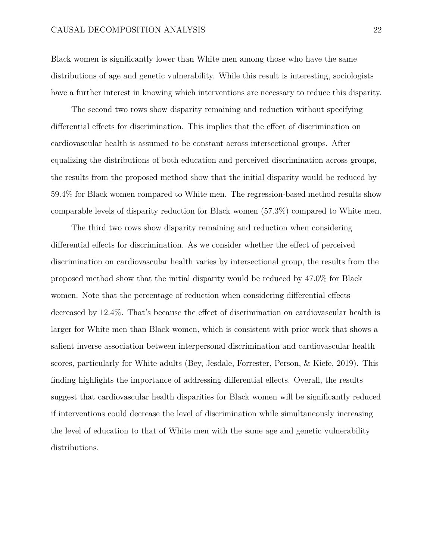Black women is significantly lower than White men among those who have the same distributions of age and genetic vulnerability. While this result is interesting, sociologists have a further interest in knowing which interventions are necessary to reduce this disparity.

The second two rows show disparity remaining and reduction without specifying differential effects for discrimination. This implies that the effect of discrimination on cardiovascular health is assumed to be constant across intersectional groups. After equalizing the distributions of both education and perceived discrimination across groups, the results from the proposed method show that the initial disparity would be reduced by 59.4% for Black women compared to White men. The regression-based method results show comparable levels of disparity reduction for Black women (57.3%) compared to White men.

The third two rows show disparity remaining and reduction when considering differential effects for discrimination. As we consider whether the effect of perceived discrimination on cardiovascular health varies by intersectional group, the results from the proposed method show that the initial disparity would be reduced by 47.0% for Black women. Note that the percentage of reduction when considering differential effects decreased by 12.4%. That's because the effect of discrimination on cardiovascular health is larger for White men than Black women, which is consistent with prior work that shows a salient inverse association between interpersonal discrimination and cardiovascular health scores, particularly for White adults (Bey, Jesdale, Forrester, Person, & Kiefe, 2019). This finding highlights the importance of addressing differential effects. Overall, the results suggest that cardiovascular health disparities for Black women will be significantly reduced if interventions could decrease the level of discrimination while simultaneously increasing the level of education to that of White men with the same age and genetic vulnerability distributions.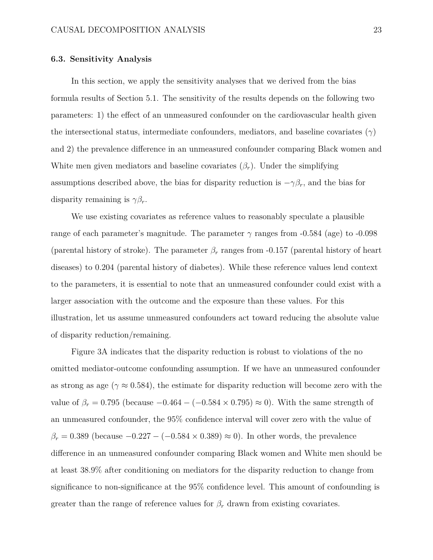### **6.3. Sensitivity Analysis**

In this section, we apply the sensitivity analyses that we derived from the bias formula results of Section 5.1. The sensitivity of the results depends on the following two parameters: 1) the effect of an unmeasured confounder on the cardiovascular health given the intersectional status, intermediate confounders, mediators, and baseline covariates  $(\gamma)$ and 2) the prevalence difference in an unmeasured confounder comparing Black women and White men given mediators and baseline covariates  $(\beta_r)$ . Under the simplifying assumptions described above, the bias for disparity reduction is  $-\gamma \beta_r$ , and the bias for disparity remaining is  $\gamma \beta_r$ .

We use existing covariates as reference values to reasonably speculate a plausible range of each parameter's magnitude. The parameter  $\gamma$  ranges from -0.584 (age) to -0.098 (parental history of stroke). The parameter  $\beta_r$  ranges from -0.157 (parental history of heart diseases) to 0.204 (parental history of diabetes). While these reference values lend context to the parameters, it is essential to note that an unmeasured confounder could exist with a larger association with the outcome and the exposure than these values. For this illustration, let us assume unmeasured confounders act toward reducing the absolute value of disparity reduction/remaining.

Figure 3A indicates that the disparity reduction is robust to violations of the no omitted mediator-outcome confounding assumption. If we have an unmeasured confounder as strong as age ( $\gamma \approx 0.584$ ), the estimate for disparity reduction will become zero with the value of  $\beta_r = 0.795$  (because  $-0.464 - (-0.584 \times 0.795) \approx 0$ ). With the same strength of an unmeasured confounder, the 95% confidence interval will cover zero with the value of  $\beta_r = 0.389$  (because  $-0.227 - (-0.584 \times 0.389) \approx 0$ ). In other words, the prevalence difference in an unmeasured confounder comparing Black women and White men should be at least 38.9% after conditioning on mediators for the disparity reduction to change from significance to non-significance at the 95% confidence level. This amount of confounding is greater than the range of reference values for  $\beta_r$  drawn from existing covariates.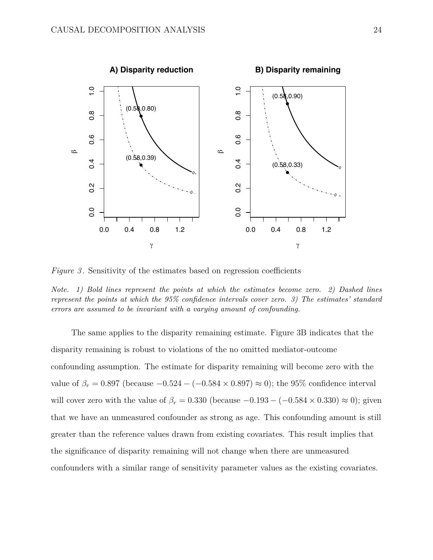

*Figure 3*. Sensitivity of the estimates based on regression coefficients

*Note. 1) Bold lines represent the points at which the estimates become zero. 2) Dashed lines represent the points at which the 95% confidence intervals cover zero. 3) The estimates' standard errors are assumed to be invariant with a varying amount of confounding.*

The same applies to the disparity remaining estimate. Figure 3B indicates that the disparity remaining is robust to violations of the no omitted mediator-outcome confounding assumption. The estimate for disparity remaining will become zero with the value of  $\beta_r = 0.897$  (because  $-0.524 - (-0.584 \times 0.897) \approx 0$ ); the 95% confidence interval will cover zero with the value of  $\beta_r = 0.330$  (because  $-0.193 - (-0.584 \times 0.330) \approx 0$ ); given that we have an unmeasured confounder as strong as age. This confounding amount is still greater than the reference values drawn from existing covariates. This result implies that the significance of disparity remaining will not change when there are unmeasured confounders with a similar range of sensitivity parameter values as the existing covariates.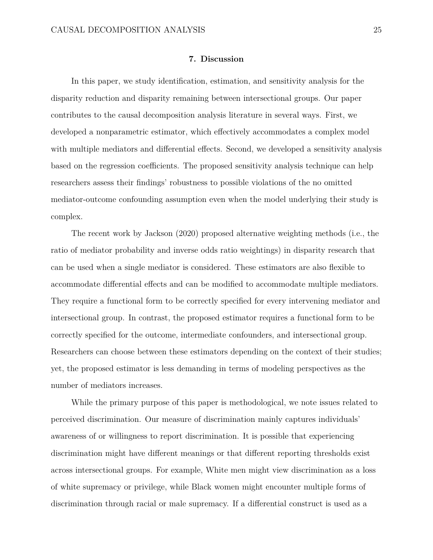## **7. Discussion**

In this paper, we study identification, estimation, and sensitivity analysis for the disparity reduction and disparity remaining between intersectional groups. Our paper contributes to the causal decomposition analysis literature in several ways. First, we developed a nonparametric estimator, which effectively accommodates a complex model with multiple mediators and differential effects. Second, we developed a sensitivity analysis based on the regression coefficients. The proposed sensitivity analysis technique can help researchers assess their findings' robustness to possible violations of the no omitted mediator-outcome confounding assumption even when the model underlying their study is complex.

The recent work by Jackson (2020) proposed alternative weighting methods (i.e., the ratio of mediator probability and inverse odds ratio weightings) in disparity research that can be used when a single mediator is considered. These estimators are also flexible to accommodate differential effects and can be modified to accommodate multiple mediators. They require a functional form to be correctly specified for every intervening mediator and intersectional group. In contrast, the proposed estimator requires a functional form to be correctly specified for the outcome, intermediate confounders, and intersectional group. Researchers can choose between these estimators depending on the context of their studies; yet, the proposed estimator is less demanding in terms of modeling perspectives as the number of mediators increases.

While the primary purpose of this paper is methodological, we note issues related to perceived discrimination. Our measure of discrimination mainly captures individuals' awareness of or willingness to report discrimination. It is possible that experiencing discrimination might have different meanings or that different reporting thresholds exist across intersectional groups. For example, White men might view discrimination as a loss of white supremacy or privilege, while Black women might encounter multiple forms of discrimination through racial or male supremacy. If a differential construct is used as a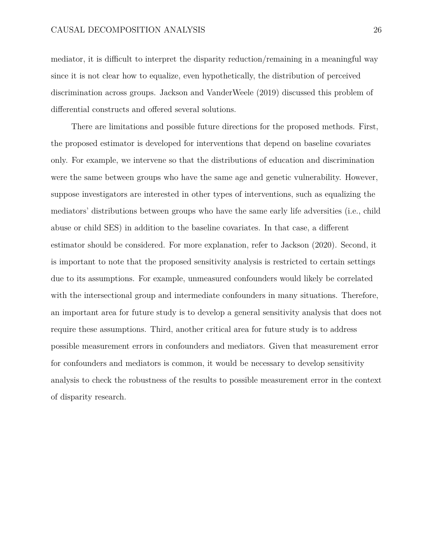mediator, it is difficult to interpret the disparity reduction/remaining in a meaningful way since it is not clear how to equalize, even hypothetically, the distribution of perceived discrimination across groups. Jackson and VanderWeele (2019) discussed this problem of differential constructs and offered several solutions.

There are limitations and possible future directions for the proposed methods. First, the proposed estimator is developed for interventions that depend on baseline covariates only. For example, we intervene so that the distributions of education and discrimination were the same between groups who have the same age and genetic vulnerability. However, suppose investigators are interested in other types of interventions, such as equalizing the mediators' distributions between groups who have the same early life adversities (i.e., child abuse or child SES) in addition to the baseline covariates. In that case, a different estimator should be considered. For more explanation, refer to Jackson (2020). Second, it is important to note that the proposed sensitivity analysis is restricted to certain settings due to its assumptions. For example, unmeasured confounders would likely be correlated with the intersectional group and intermediate confounders in many situations. Therefore, an important area for future study is to develop a general sensitivity analysis that does not require these assumptions. Third, another critical area for future study is to address possible measurement errors in confounders and mediators. Given that measurement error for confounders and mediators is common, it would be necessary to develop sensitivity analysis to check the robustness of the results to possible measurement error in the context of disparity research.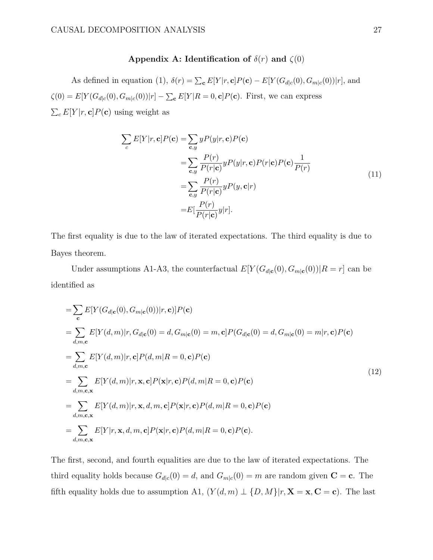## **Appendix A: Identification of**  $\delta(r)$  **and**  $\zeta(0)$

As defined in equation (1),  $\delta(r) = \sum_{\mathbf{c}} E[Y|r, \mathbf{c}]P(\mathbf{c}) - E[Y(G_{d|c}(0), G_{m|c}(0))|r]$ , and  $\zeta(0) = E[Y(G_{d|c}(0), G_{m|c}(0)) | r] - \sum_{c} E[Y|R = 0, c]P(c)$ . First, we can express  $\sum_{c} E[Y|r, \mathbf{c}]P(\mathbf{c})$  using weight as

$$
\sum_{c} E[Y|r, \mathbf{c}] P(\mathbf{c}) = \sum_{\mathbf{c}, y} y P(y|r, \mathbf{c}) P(\mathbf{c})
$$
  
\n
$$
= \sum_{\mathbf{c}, y} \frac{P(r)}{P(r|\mathbf{c})} y P(y|r, \mathbf{c}) P(r|\mathbf{c}) P(\mathbf{c}) \frac{1}{P(r)}
$$
  
\n
$$
= \sum_{\mathbf{c}, y} \frac{P(r)}{P(r|\mathbf{c})} y P(y, \mathbf{c}|r)
$$
  
\n
$$
= E\left[\frac{P(r)}{P(r|\mathbf{c})} y|r\right].
$$
\n(11)

The first equality is due to the law of iterated expectations. The third equality is due to Bayes theorem.

Under assumptions A1-A3, the counterfactual  $E[Y(G_{d|c}(0), G_{m|c}(0))|R = r]$  can be identified as

$$
= \sum_{\mathbf{c}} E[Y(G_{d|\mathbf{c}}(0), G_{m|\mathbf{c}}(0)) | r, \mathbf{c})] P(\mathbf{c})
$$
  
\n
$$
= \sum_{d,m,\mathbf{c}} E[Y(d,m)|r, G_{d|\mathbf{c}}(0) = d, G_{m|\mathbf{c}}(0) = m, \mathbf{c}] P(G_{d|\mathbf{c}}(0) = d, G_{m|\mathbf{c}}(0) = m | r, \mathbf{c}) P(\mathbf{c})
$$
  
\n
$$
= \sum_{d,m,\mathbf{c}} E[Y(d,m)|r, \mathbf{c}] P(d,m|R = 0, \mathbf{c}) P(\mathbf{c})
$$
  
\n
$$
= \sum_{d,m,\mathbf{c},\mathbf{x}} E[Y(d,m)|r, \mathbf{x}, \mathbf{c}] P(\mathbf{x}|r, \mathbf{c}) P(d,m|R = 0, \mathbf{c}) P(\mathbf{c})
$$
  
\n
$$
= \sum_{d,m,\mathbf{c},\mathbf{x}} E[Y(d,m)|r, \mathbf{x}, d, m, \mathbf{c}] P(\mathbf{x}|r, \mathbf{c}) P(d,m|R = 0, \mathbf{c}) P(\mathbf{c})
$$
  
\n
$$
= \sum_{d,m,\mathbf{c},\mathbf{x}} E[Y|r, \mathbf{x}, d, m, \mathbf{c}] P(\mathbf{x}|r, \mathbf{c}) P(d,m|R = 0, \mathbf{c}) P(\mathbf{c}).
$$
  
\n(12)

The first, second, and fourth equalities are due to the law of iterated expectations. The third equality holds because  $G_{d|c}(0) = d$ , and  $G_{m|c}(0) = m$  are random given  $C = c$ . The fifth equality holds due to assumption A1,  $(Y(d, m) \perp \{D, M\} | r, \mathbf{X} = \mathbf{x}, \mathbf{C} = \mathbf{c})$ . The last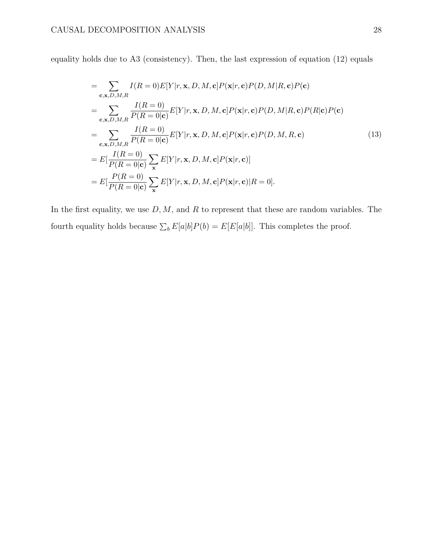equality holds due to A3 (consistency). Then, the last expression of equation (12) equals

$$
= \sum_{\mathbf{c},\mathbf{x},D,M,R} I(R=0)E[Y|r,\mathbf{x},D,M,\mathbf{c}]P(\mathbf{x}|r,\mathbf{c})P(D,M|R,\mathbf{c})P(\mathbf{c})
$$
  
\n
$$
= \sum_{\mathbf{c},\mathbf{x},D,M,R} \frac{I(R=0)}{P(R=0|\mathbf{c})} E[Y|r,\mathbf{x},D,M,\mathbf{c}]P(\mathbf{x}|r,\mathbf{c})P(D,M|R,\mathbf{c})P(R|\mathbf{c})P(\mathbf{c})
$$
  
\n
$$
= \sum_{\mathbf{c},\mathbf{x},D,M,R} \frac{I(R=0)}{P(R=0|\mathbf{c})} E[Y|r,\mathbf{x},D,M,\mathbf{c}]P(\mathbf{x}|r,\mathbf{c})P(D,M,R,\mathbf{c})
$$
  
\n
$$
= E[\frac{I(R=0)}{P(R=0|\mathbf{c})} \sum_{\mathbf{x}} E[Y|r,\mathbf{x},D,M,\mathbf{c}]P(\mathbf{x}|r,\mathbf{c})]
$$
  
\n
$$
= E[\frac{P(R=0)}{P(R=0|\mathbf{c})} \sum_{\mathbf{x}} E[Y|r,\mathbf{x},D,M,\mathbf{c}]P(\mathbf{x}|r,\mathbf{c})|R=0].
$$
  
\n(13)

In the first equality, we use  $D, M$ , and R to represent that these are random variables. The fourth equality holds because  $\sum_b E[a|b]P(b) = E[E[a|b]]$ . This completes the proof.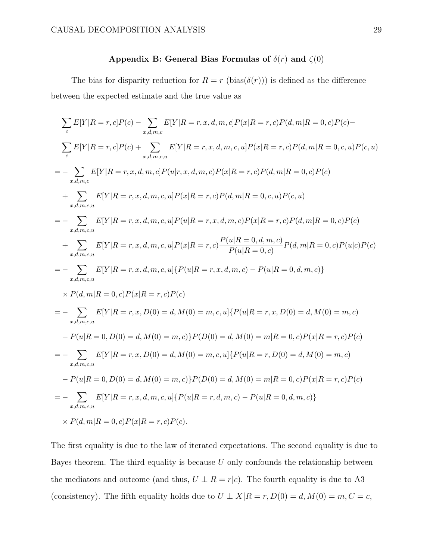## Appendix B: General Bias Formulas of  $\delta(r)$  and  $\zeta(0)$

The bias for disparity reduction for  $R = r$  (bias( $\delta(r)$ )) is defined as the difference between the expected estimate and the true value as

$$
\sum_{c} E[Y|R = r, c]P(c) - \sum_{x,d,m,c} E[Y|R = r, x, d, m, c]P(x|R = r, c)P(d, m|R = 0, c)P(c) -
$$
\n
$$
\sum_{c} E[Y|R = r, c]P(c) + \sum_{x,d,m,c,u} E[Y|R = r, x, d, m, c, u]P(x|R = r, c)P(d, m|R = 0, c, u)P(c, u)
$$
\n
$$
= - \sum_{x,d,m,c,u} E[Y|R = r, x, d, m, c]P(u|r, x, d, m, c)P(x|R = r, c)P(d, m|R = 0, c)P(c)
$$
\n
$$
+ \sum_{x,d,m,c,u} E[Y|R = r, x, d, m, c, u]P(x|R = r, c)P(d, m|R = 0, c, u)P(c, u)
$$
\n
$$
= - \sum_{x,d,m,c,u} E[Y|R = r, x, d, m, c, u]P(u|R = r, x, d, m, c)P(x|R = r, c)P(d, m|R = 0, c)P(c)
$$
\n
$$
+ \sum_{x,d,m,c,u} E[Y|R = r, x, d, m, c, u]P(x|R = r, c) \frac{P(u|R = 0, d, m, c)}{P(u|R = 0, c)} P(d, m|R = 0, c)P(u|c)P(c)
$$
\n
$$
= - \sum_{x,d,m,c,u} E[Y|R = r, x, d, m, c, u] \{P(u|R = r, x, d, m, c) - P(u|R = 0, d, m, c)\}
$$
\n
$$
\times P(d, m|R = 0, c)P(x|R = r, c)P(c)
$$
\n
$$
= - \sum_{x,d,m,c,u} E[Y|R = r, x, D(0) = d, M(0) = m, c, u] \{P(u|R = r, x, D(0) = d, M(0) = m, c) - P(u|R = 0, D(0) = d, M(0) = m, c)\}
$$
\n
$$
- P(u|R = 0, D(0) = d, M(0) = m, c) \{P(u|R = r, D(0) = d, M(0) = m, c) - P(u|R = 0, c)P(x|R = r, c)P(c)\}
$$
\n
$$
= - \sum_{x,d,m,c,u} E[Y|R = r, x, D(0) = d, M(0) = m, c, u] \{P(u|R = r, D(0
$$

The first equality is due to the law of iterated expectations. The second equality is due to Bayes theorem. The third equality is because *U* only confounds the relationship between the mediators and outcome (and thus,  $U \perp R = r|c$ ). The fourth equality is due to A3 (consistency). The fifth equality holds due to  $U \perp X | R = r, D(0) = d, M(0) = m, C = c$ ,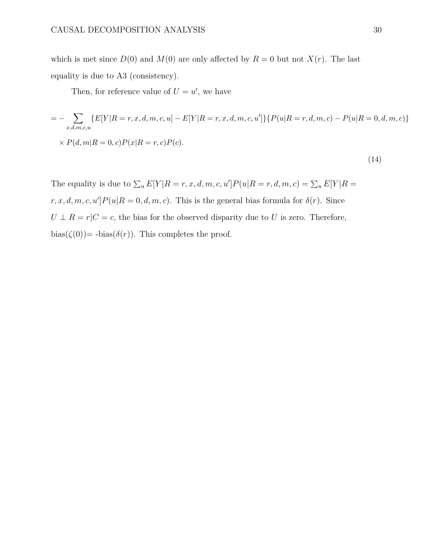which is met since  $D(0)$  and  $M(0)$  are only affected by  $R = 0$  but not  $X(r)$ . The last equality is due to A3 (consistency).

Then, for reference value of  $U = u'$ , we have

$$
= -\sum_{x,d,m,c,u} \{E[Y|R=r,x,d,m,c,u] - E[Y|R=r,x,d,m,c,u']\} \{P(u|R=r,d,m,c) - P(u|R=0,d,m,c)\}
$$
  
× P(d,m|R = 0, c) P(x|R = r, c) P(c). (14)

The equality is due to  $\sum_{u} E[Y|R = r, x, d, m, c, u'] P(u|R = r, d, m, c) = \sum_{u} E[Y|R = r, d, m, c]$  $r, x, d, m, c, u'|P(u|R=0, d, m, c)$ . This is the general bias formula for  $\delta(r)$ . Since  $U \perp R = r | C = c$ , the bias for the observed disparity due to *U* is zero. Therefore,  $bias(\zeta(0))$  -  $bias(\delta(r))$ . This completes the proof.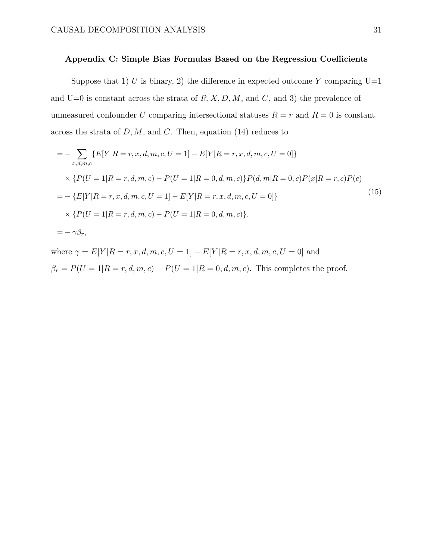## **Appendix C: Simple Bias Formulas Based on the Regression Coecients**

Suppose that 1) *U* is binary, 2) the difference in expected outcome *Y* comparing  $U=1$ and  $U=0$  is constant across the strata of  $R, X, D, M$ , and  $C$ , and 3) the prevalence of unmeasured confounder *U* comparing intersectional statuses  $R = r$  and  $R = 0$  is constant across the strata of *D,M*, and *C*. Then, equation (14) reduces to

$$
= -\sum_{x,d,m,c} \{E[Y|R=r,x,d,m,c,U=1] - E[Y|R=r,x,d,m,c,U=0]\}
$$
  
\n
$$
\times \{P(U=1|R=r,d,m,c) - P(U=1|R=0,d,m,c)\}P(d,m|R=0,c)P(x|R=r,c)P(c)
$$
  
\n
$$
= -\{E[Y|R=r,x,d,m,c,U=1] - E[Y|R=r,x,d,m,c,U=0]\}
$$
  
\n
$$
\times \{P(U=1|R=r,d,m,c) - P(U=1|R=0,d,m,c)\}.
$$
  
\n
$$
= -\gamma\beta_r,
$$
 (15)

where  $\gamma = E[Y | R = r, x, d, m, c, U = 1] - E[Y | R = r, x, d, m, c, U = 0]$  and  $\beta_r = P(U = 1 | R = r, d, m, c) - P(U = 1 | R = 0, d, m, c)$ . This completes the proof.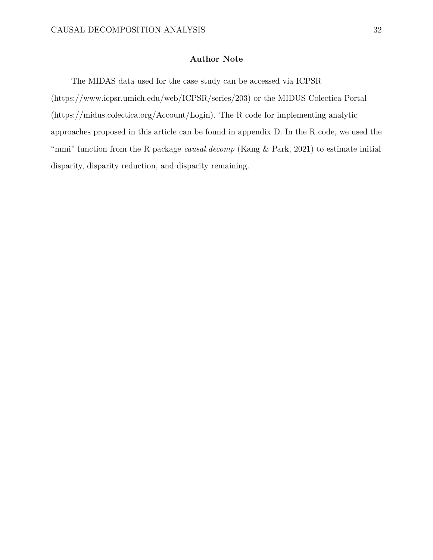# **Author Note**

The MIDAS data used for the case study can be accessed via ICPSR (https://www.icpsr.umich.edu/web/ICPSR/series/203) or the MIDUS Colectica Portal (https://midus.colectica.org/Account/Login). The R code for implementing analytic approaches proposed in this article can be found in appendix D. In the R code, we used the "mmi" function from the R package *causal.decomp* (Kang & Park, 2021) to estimate initial disparity, disparity reduction, and disparity remaining.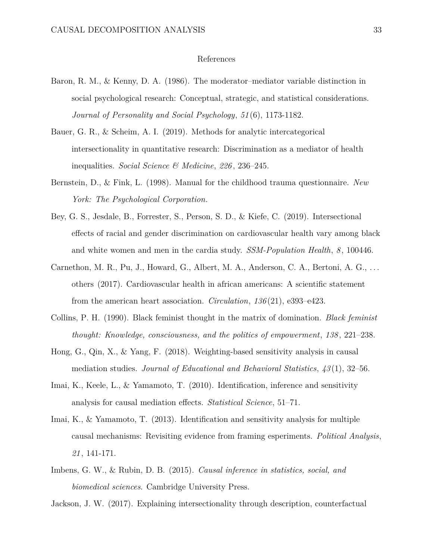#### References

- Baron, R. M., & Kenny, D. A. (1986). The moderator–mediator variable distinction in social psychological research: Conceptual, strategic, and statistical considerations. *Journal of Personality and Social Psychology*, *51* (6), 1173-1182.
- Bauer, G. R., & Scheim, A. I. (2019). Methods for analytic intercategorical intersectionality in quantitative research: Discrimination as a mediator of health inequalities. *Social Science & Medicine*, *226* , 236–245.
- Bernstein, D., & Fink, L. (1998). Manual for the childhood trauma questionnaire. *New York: The Psychological Corporation*.
- Bey, G. S., Jesdale, B., Forrester, S., Person, S. D., & Kiefe, C. (2019). Intersectional effects of racial and gender discrimination on cardiovascular health vary among black and white women and men in the cardia study. *SSM-Population Health*, *8* , 100446.
- Carnethon, M. R., Pu, J., Howard, G., Albert, M. A., Anderson, C. A., Bertoni, A. G., . . . others (2017). Cardiovascular health in african americans: A scientific statement from the american heart association. *Circulation*, *136* (21), e393–e423.
- Collins, P. H. (1990). Black feminist thought in the matrix of domination. *Black feminist thought: Knowledge, consciousness, and the politics of empowerment*, *138* , 221–238.
- Hong, G., Qin, X., & Yang, F. (2018). Weighting-based sensitivity analysis in causal mediation studies. *Journal of Educational and Behavioral Statistics*, *43* (1), 32–56.
- Imai, K., Keele, L., & Yamamoto, T. (2010). Identification, inference and sensitivity analysis for causal mediation effects. *Statistical Science*, 51–71.
- Imai, K., & Yamamoto, T. (2013). Identification and sensitivity analysis for multiple causal mechanisms: Revisiting evidence from framing esperiments. *Political Analysis*, *21* , 141-171.
- Imbens, G. W., & Rubin, D. B. (2015). *Causal inference in statistics, social, and biomedical sciences*. Cambridge University Press.

Jackson, J. W. (2017). Explaining intersectionality through description, counterfactual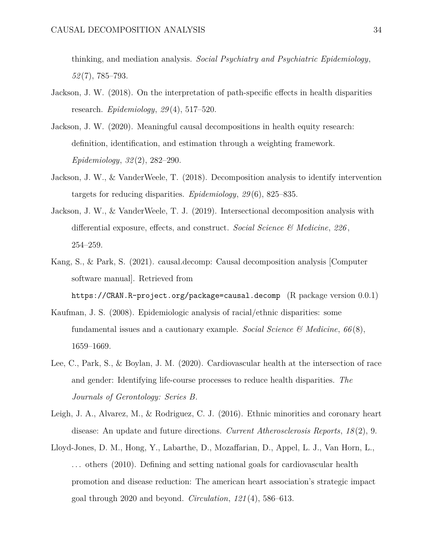thinking, and mediation analysis. *Social Psychiatry and Psychiatric Epidemiology*, *52* (7), 785–793.

- Jackson, J. W. (2018). On the interpretation of path-specific effects in health disparities research. *Epidemiology*, *29* (4), 517–520.
- Jackson, J. W. (2020). Meaningful causal decompositions in health equity research: definition, identification, and estimation through a weighting framework. *Epidemiology*, *32* (2), 282–290.
- Jackson, J. W., & VanderWeele, T. (2018). Decomposition analysis to identify intervention targets for reducing disparities. *Epidemiology*, *29* (6), 825–835.
- Jackson, J. W., & VanderWeele, T. J. (2019). Intersectional decomposition analysis with differential exposure, effects, and construct. *Social Science*  $\mathcal{C}$  *Medicine*, 226, 254–259.
- Kang, S., & Park, S. (2021). causal.decomp: Causal decomposition analysis [Computer software manual]. Retrieved from https://CRAN.R-project.org/package=causal.decomp (R package version 0.0.1)
- Kaufman, J. S. (2008). Epidemiologic analysis of racial/ethnic disparities: some fundamental issues and a cautionary example. *Social Science & Medicine*, *66* (8), 1659–1669.
- Lee, C., Park, S., & Boylan, J. M. (2020). Cardiovascular health at the intersection of race and gender: Identifying life-course processes to reduce health disparities. *The Journals of Gerontology: Series B*.
- Leigh, J. A., Alvarez, M., & Rodriguez, C. J. (2016). Ethnic minorities and coronary heart disease: An update and future directions. *Current Atherosclerosis Reports*, *18* (2), 9.
- Lloyd-Jones, D. M., Hong, Y., Labarthe, D., Mozaffarian, D., Appel, L. J., Van Horn, L., . . . others (2010). Defining and setting national goals for cardiovascular health promotion and disease reduction: The american heart association's strategic impact goal through 2020 and beyond. *Circulation*, *121* (4), 586–613.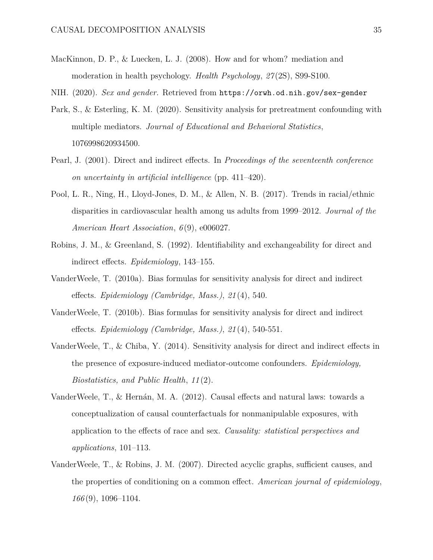- MacKinnon, D. P., & Luecken, L. J. (2008). How and for whom? mediation and moderation in health psychology. *Health Psychology*, *27* (2S), S99-S100.
- NIH. (2020). *Sex and gender.* Retrieved from https://orwh.od.nih.gov/sex-gender
- Park, S., & Esterling, K. M. (2020). Sensitivity analysis for pretreatment confounding with multiple mediators. *Journal of Educational and Behavioral Statistics*, 1076998620934500.
- Pearl, J. (2001). Direct and indirect effects. In *Proceedings of the seventeenth conference on uncertainty in artificial intelligence* (pp. 411–420).
- Pool, L. R., Ning, H., Lloyd-Jones, D. M., & Allen, N. B. (2017). Trends in racial/ethnic disparities in cardiovascular health among us adults from 1999–2012. *Journal of the American Heart Association*, *6* (9), e006027.
- Robins, J. M., & Greenland, S. (1992). Identifiability and exchangeability for direct and indirect effects. *Epidemiology*, 143–155.
- VanderWeele, T. (2010a). Bias formulas for sensitivity analysis for direct and indirect effects. *Epidemiology (Cambridge, Mass.)*, 21(4), 540.
- VanderWeele, T. (2010b). Bias formulas for sensitivity analysis for direct and indirect effects. *Epidemiology (Cambridge, Mass.)*,  $21(4)$ , 540-551.
- VanderWeele,  $T_{\cdot}$ ,  $\&$  Chiba, Y. (2014). Sensitivity analysis for direct and indirect effects in the presence of exposure-induced mediator-outcome confounders. *Epidemiology, Biostatistics, and Public Health*, *11* (2).
- VanderWeele, T.,  $\&$  Hernán, M. A. (2012). Causal effects and natural laws: towards a conceptualization of causal counterfactuals for nonmanipulable exposures, with application to the effects of race and sex. *Causality: statistical perspectives and applications*, 101–113.
- VanderWeele,  $T_{\cdot}$ , & Robins, J. M. (2007). Directed acyclic graphs, sufficient causes, and the properties of conditioning on a common effect. *American journal of epidemiology*, *166* (9), 1096–1104.